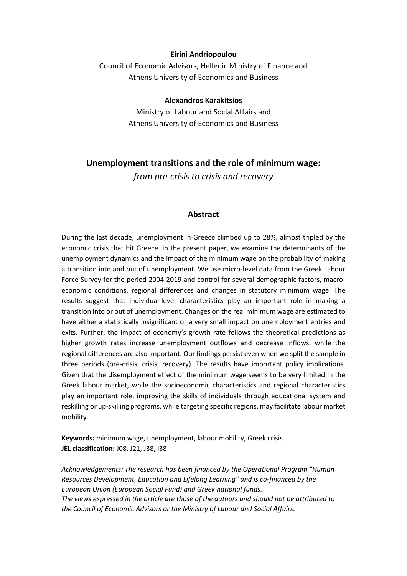#### **Eirini Andriopoulou**

Council of Economic Advisors, Hellenic Ministry of Finance and Athens University of Economics and Business

#### **Alexandros Karakitsios**

Ministry of Labour and Social Affairs and Athens University of Economics and Business

### **Unemployment transitions and the role of minimum wage:**

*from pre-crisis to crisis and recovery* 

### **Abstract**

During the last decade, unemployment in Greece climbed up to 28%, almost tripled by the economic crisis that hit Greece. In the present paper, we examine the determinants of the unemployment dynamics and the impact of the minimum wage on the probability of making a transition into and out of unemployment. We use micro-level data from the Greek Labour Force Survey for the period 2004-2019 and control for several demographic factors, macroeconomic conditions, regional differences and changes in statutory minimum wage. The results suggest that individual-level characteristics play an important role in making a transition into or out of unemployment. Changes on the real minimum wage are estimated to have either a statistically insignificant or a very small impact on unemployment entries and exits. Further, the impact of economy's growth rate follows the theoretical predictions as higher growth rates increase unemployment outflows and decrease inflows, while the regional differences are also important. Our findings persist even when we split the sample in three periods (pre-crisis, crisis, recovery). The results have important policy implications. Given that the disemployment effect of the minimum wage seems to be very limited in the Greek labour market, while the socioeconomic characteristics and regional characteristics play an important role, improving the skills of individuals through educational system and reskilling or up-skilling programs, while targeting specific regions, may facilitate labour market mobility.

**Keywords:** minimum wage, unemployment, labour mobility, Greek crisis **JEL classification:** J08, J21, J38, I38

*Acknowledgements: The research has been financed by the Operational Program "Human Resources Development, Education and Lifelong Learning" and is co-financed by the European Union (European Social Fund) and Greek national funds. The views expressed in the article are those of the authors and should not be attributed to the Council of Economic Advisors or the Ministry of Labour and Social Affairs.*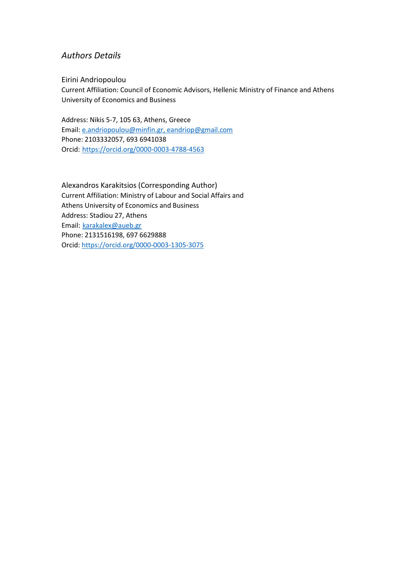# *Authors Details*

Eirini Andriopoulou Current Affiliation: Council of Economic Advisors, Hellenic Ministry of Finance and Athens University of Economics and Business

Address: Nikis 5-7, 105 63, Athens, Greece Email: [e.andriopoulou@minfin.gr,](mailto:e.andriopoulou@minfin.gr) [eandriop@gmail.com](mailto:eandriop@gmail.com) Phone: 2103332057, 693 6941038 Orcid: <https://orcid.org/0000-0003-4788-4563>

Alexandros Karakitsios (Corresponding Author) Current Affiliation: Ministry of Labour and Social Affairs and Athens University of Economics and Business Address: Stadiou 27, Athens Email: karakalex@aueb.gr Phone: 2131516198, 697 6629888 Orcid[: https://orcid.org/0000-0003-1305-3075](https://orcid.org/0000-0003-1305-3075)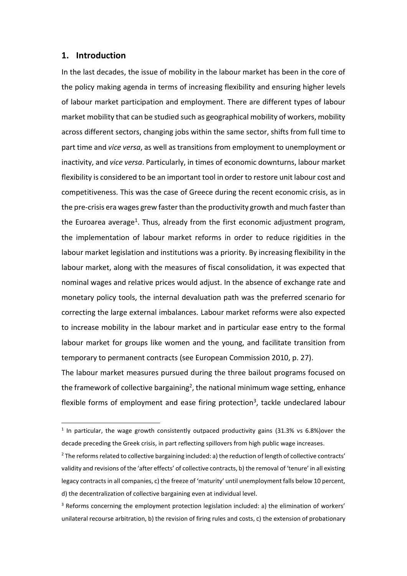#### **1. Introduction**

In the last decades, the issue of mobility in the labour market has been in the core of the policy making agenda in terms of increasing flexibility and ensuring higher levels of labour market participation and employment. There are different types of labour market mobility that can be studied such as geographical mobility of workers, mobility across different sectors, changing jobs within the same sector, shifts from full time to part time and *vice versa*, as well as transitions from employment to unemployment or inactivity, and *vice versa*. Particularly, in times of economic downturns, labour market flexibility is considered to be an important tool in order to restore unit labour cost and competitiveness. This was the case of Greece during the recent economic crisis, as in the pre-crisis era wages grew faster than the productivity growth and much faster than the Euroarea average<sup>1</sup>. Thus, already from the first economic adjustment program, the implementation of labour market reforms in order to reduce rigidities in the labour market legislation and institutions was a priority. By increasing flexibility in the labour market, along with the measures of fiscal consolidation, it was expected that nominal wages and relative prices would adjust. In the absence of exchange rate and monetary policy tools, the internal devaluation path was the preferred scenario for correcting the large external imbalances. Labour market reforms were also expected to increase mobility in the labour market and in particular ease entry to the formal labour market for groups like women and the young, and facilitate transition from temporary to permanent contracts (see European Commission 2010, p. 27).

The labour market measures pursued during the three bailout programs focused on the framework of collective bargaining<sup>2</sup>, the national minimum wage setting, enhance flexible forms of employment and ease firing protection<sup>3</sup>, tackle undeclared labour

 $1$  In particular, the wage growth consistently outpaced productivity gains (31.3% vs 6.8%) over the decade preceding the Greek crisis, in part reflecting spillovers from high public wage increases.

<sup>&</sup>lt;sup>2</sup> The reforms related to collective bargaining included: a) the reduction of length of collective contracts' validity and revisions of the 'after effects' of collective contracts, b) the removal of 'tenure' in all existing legacy contracts in all companies, c) the freeze of 'maturity' until unemployment falls below 10 percent, d) the decentralization of collective bargaining even at individual level.

<sup>&</sup>lt;sup>3</sup> Reforms concerning the employment protection legislation included: a) the elimination of workers' unilateral recourse arbitration, b) the revision of firing rules and costs, c) the extension of probationary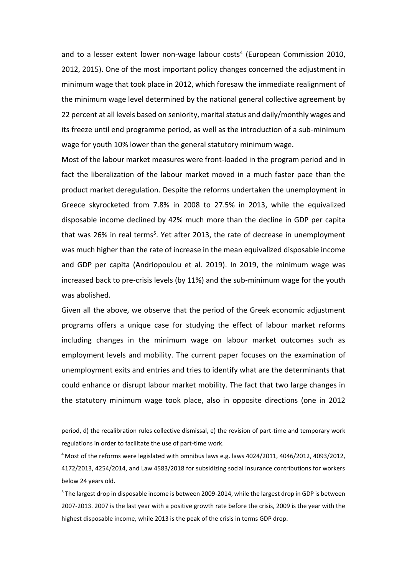and to a lesser extent lower non-wage labour costs<sup>4</sup> (European Commission 2010, 2012, 2015). One of the most important policy changes concerned the adjustment in minimum wage that took place in 2012, which foresaw the immediate realignment of the minimum wage level determined by the national general collective agreement by 22 percent at all levels based on seniority, marital status and daily/monthly wages and its freeze until end programme period, as well as the introduction of a sub-minimum wage for youth 10% lower than the general statutory minimum wage.

Most of the labour market measures were front-loaded in the program period and in fact the liberalization of the labour market moved in a much faster pace than the product market deregulation. Despite the reforms undertaken the unemployment in Greece skyrocketed from 7.8% in 2008 to 27.5% in 2013, while the equivalized disposable income declined by 42% much more than the decline in GDP per capita that was 26% in real terms<sup>5</sup>. Yet after 2013, the rate of decrease in unemployment was much higher than the rate of increase in the mean equivalized disposable income and GDP per capita (Andriopoulou et al. 2019). In 2019, the minimum wage was increased back to pre-crisis levels (by 11%) and the sub-minimum wage for the youth was abolished.

Given all the above, we observe that the period of the Greek economic adjustment programs offers a unique case for studying the effect of labour market reforms including changes in the minimum wage on labour market outcomes such as employment levels and mobility. The current paper focuses on the examination of unemployment exits and entries and tries to identify what are the determinants that could enhance or disrupt labour market mobility. The fact that two large changes in the statutory minimum wage took place, also in opposite directions (one in 2012

period, d) the recalibration rules collective dismissal, e) the revision of part-time and temporary work regulations in order to facilitate the use of part-time work.

<sup>4</sup> Most of the reforms were legislated with omnibus laws e.g. laws 4024/2011, 4046/2012, 4093/2012, 4172/2013, 4254/2014, and Law 4583/2018 for subsidizing social insurance contributions for workers below 24 years old.

<sup>&</sup>lt;sup>5</sup> The largest drop in disposable income is between 2009-2014, while the largest drop in GDP is between 2007-2013. 2007 is the last year with a positive growth rate before the crisis, 2009 is the year with the highest disposable income, while 2013 is the peak of the crisis in terms GDP drop.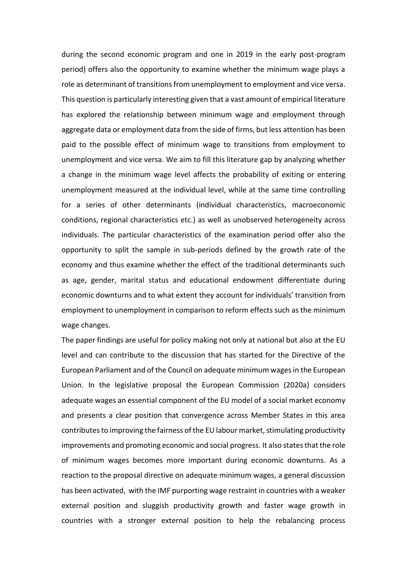during the second economic program and one in 2019 in the early post-program period) offers also the opportunity to examine whether the minimum wage plays a role as determinant of transitions from unemployment to employment and vice versa. This question is particularly interesting given that a vast amount of empirical literature has explored the relationship between minimum wage and employment through aggregate data or employment data from the side of firms, but less attention has been paid to the possible effect of minimum wage to transitions from employment to unemployment and vice versa. We aim to fill this literature gap by analyzing whether a change in the minimum wage level affects the probability of exiting or entering unemployment measured at the individual level, while at the same time controlling for a series of other determinants (individual characteristics, macroeconomic conditions, regional characteristics etc.) as well as unobserved heterogeneity across individuals. The particular characteristics of the examination period offer also the opportunity to split the sample in sub-periods defined by the growth rate of the economy and thus examine whether the effect of the traditional determinants such as age, gender, marital status and educational endowment differentiate during economic downturns and to what extent they account for individuals' transition from employment to unemployment in comparison to reform effects such as the minimum wage changes.

The paper findings are useful for policy making not only at national but also at the EU level and can contribute to the discussion that has started for the Directive of the European Parliament and of the Council on adequate minimum wages in the European Union. In the legislative proposal the European Commission (2020a) considers adequate wages an essential component of the EU model of a social market economy and presents a clear position that convergence across Member States in this area contributes to improving the fairness of the EU labour market, stimulating productivity improvements and promoting economic and social progress. It also states that the role of minimum wages becomes more important during economic downturns. As a reaction to the proposal directive on adequate minimum wages, a general discussion has been activated, with the IMF purporting wage restraint in countries with a weaker external position and sluggish productivity growth and faster wage growth in countries with a stronger external position to help the rebalancing process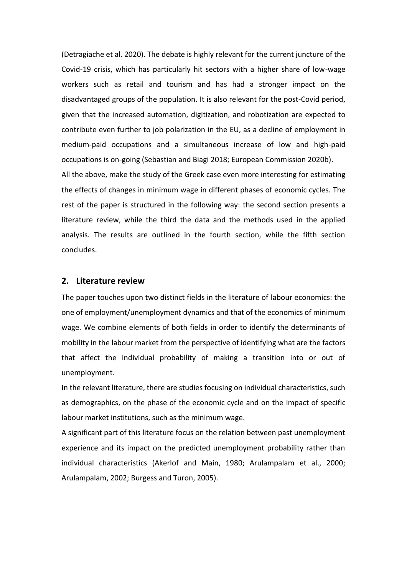(Detragiache et al. 2020). The debate is highly relevant for the current juncture of the Covid-19 crisis, which has particularly hit sectors with a higher share of low-wage workers such as retail and tourism and has had a stronger impact on the disadvantaged groups of the population. It is also relevant for the post-Covid period, given that the increased automation, digitization, and robotization are expected to contribute even further to job polarization in the EU, as a decline of employment in medium-paid occupations and a simultaneous increase of low and high-paid occupations is on-going (Sebastian and Biagi 2018; European Commission 2020b).

All the above, make the study of the Greek case even more interesting for estimating the effects of changes in minimum wage in different phases of economic cycles. The rest of the paper is structured in the following way: the second section presents a literature review, while the third the data and the methods used in the applied analysis. The results are outlined in the fourth section, while the fifth section concludes.

#### **2. Literature review**

The paper touches upon two distinct fields in the literature of labour economics: the one of employment/unemployment dynamics and that of the economics of minimum wage. We combine elements of both fields in order to identify the determinants of mobility in the labour market from the perspective of identifying what are the factors that affect the individual probability of making a transition into or out of unemployment.

In the relevant literature, there are studies focusing on individual characteristics, such as demographics, on the phase of the economic cycle and on the impact of specific labour market institutions, such as the minimum wage.

A significant part of this literature focus on the relation between past unemployment experience and its impact on the predicted unemployment probability rather than individual characteristics (Akerlof and Main, 1980; Arulampalam et al., 2000; Arulampalam, 2002; Burgess and Turon, 2005).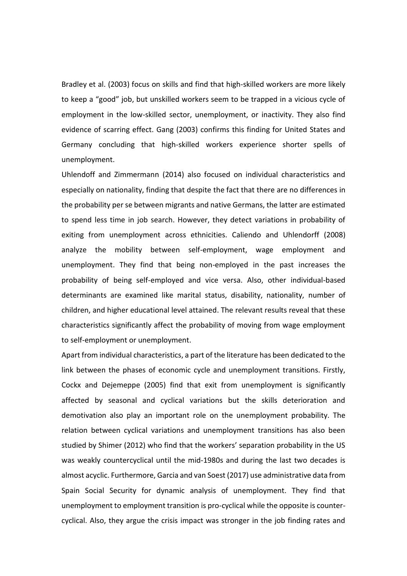Bradley et al. (2003) focus on skills and find that high-skilled workers are more likely to keep a "good" job, but unskilled workers seem to be trapped in a vicious cycle of employment in the low-skilled sector, unemployment, or inactivity. They also find evidence of scarring effect. Gang (2003) confirms this finding for United States and Germany concluding that high-skilled workers experience shorter spells of unemployment.

Uhlendoff and Zimmermann (2014) also focused on individual characteristics and especially on nationality, finding that despite the fact that there are no differences in the probability per se between migrants and native Germans, the latter are estimated to spend less time in job search. However, they detect variations in probability of exiting from unemployment across ethnicities. Caliendo and Uhlendorff (2008) analyze the mobility between self-employment, wage employment and unemployment. They find that being non-employed in the past increases the probability of being self-employed and vice versa. Also, other individual-based determinants are examined like marital status, disability, nationality, number of children, and higher educational level attained. The relevant results reveal that these characteristics significantly affect the probability of moving from wage employment to self-employment or unemployment.

Apart from individual characteristics, a part of the literature has been dedicated to the link between the phases of economic cycle and unemployment transitions. Firstly, Cockx and Dejemeppe (2005) find that exit from unemployment is significantly affected by seasonal and cyclical variations but the skills deterioration and demotivation also play an important role on the unemployment probability. The relation between cyclical variations and unemployment transitions has also been studied by Shimer (2012) who find that the workers' separation probability in the US was weakly countercyclical until the mid-1980s and during the last two decades is almost acyclic. Furthermore, Garcia and van Soest (2017) use administrative data from Spain Social Security for dynamic analysis of unemployment. They find that unemployment to employment transition is pro-cyclical while the opposite is countercyclical. Also, they argue the crisis impact was stronger in the job finding rates and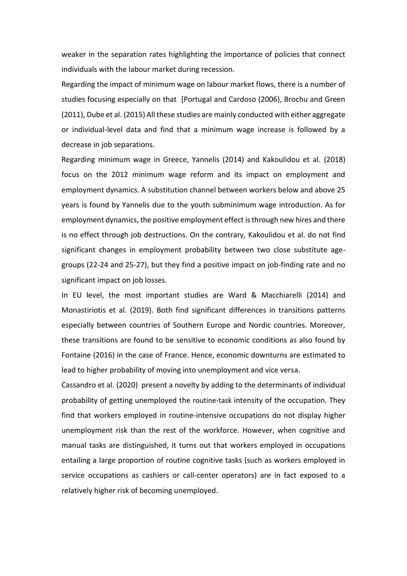weaker in the separation rates highlighting the importance of policies that connect individuals with the labour market during recession.

Regarding the impact of minimum wage on labour market flows, there is a number of studies focusing especially on that [Portugal and Cardoso (2006), Brochu and Green (2011), Dube et al. (2015) All these studies are mainly conducted with either aggregate or individual-level data and find that a minimum wage increase is followed by a decrease in job separations.

Regarding minimum wage in Greece, Yannelis (2014) and Kakoulidou et al. (2018) focus on the 2012 minimum wage reform and its impact on employment and employment dynamics. A substitution channel between workers below and above 25 years is found by Yannelis due to the youth subminimum wage introduction. As for employment dynamics, the positive employment effect is through new hires and there is no effect through job destructions. On the contrary, Kakoulidou et al. do not find significant changes in employment probability between two close substitute agegroups (22-24 and 25-27), but they find a positive impact on job-finding rate and no significant impact on job losses.

In EU level, the most important studies are Ward & Macchiarelli (2014) and Monastiriotis et al. (2019). Both find significant differences in transitions patterns especially between countries of Southern Europe and Nordic countries. Moreover, these transitions are found to be sensitive to economic conditions as also found by Fontaine (2016) in the case of France. Hence, economic downturns are estimated to lead to higher probability of moving into unemployment and vice versa.

Cassandro et al. (2020) present a novelty by adding to the determinants of individual probability of getting unemployed the routine-task intensity of the occupation. They find that workers employed in routine-intensive occupations do not display higher unemployment risk than the rest of the workforce. However, when cognitive and manual tasks are distinguished, it turns out that workers employed in occupations entailing a large proportion of routine cognitive tasks (such as workers employed in service occupations as cashiers or call-center operators) are in fact exposed to a relatively higher risk of becoming unemployed.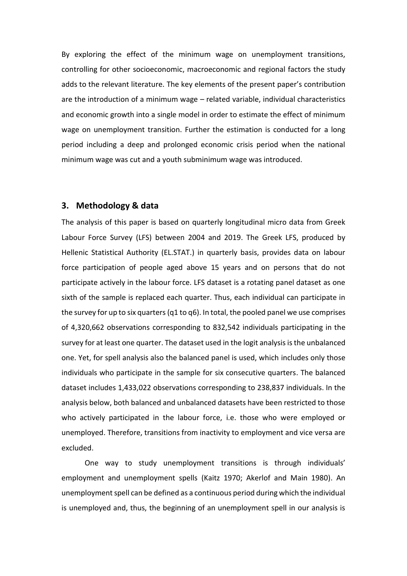By exploring the effect of the minimum wage on unemployment transitions, controlling for other socioeconomic, macroeconomic and regional factors the study adds to the relevant literature. The key elements of the present paper's contribution are the introduction of a minimum wage – related variable, individual characteristics and economic growth into a single model in order to estimate the effect of minimum wage on unemployment transition. Further the estimation is conducted for a long period including a deep and prolonged economic crisis period when the national minimum wage was cut and a youth subminimum wage was introduced.

### **3. Methodology & data**

The analysis of this paper is based on quarterly longitudinal micro data from Greek Labour Force Survey (LFS) between 2004 and 2019. The Greek LFS, produced by Hellenic Statistical Authority (EL.STAT.) in quarterly basis, provides data on labour force participation of people aged above 15 years and on persons that do not participate actively in the labour force. LFS dataset is a rotating panel dataset as one sixth of the sample is replaced each quarter. Thus, each individual can participate in the survey for up to six quarters (q1 to q6). In total, the pooled panel we use comprises of 4,320,662 observations corresponding to 832,542 individuals participating in the survey for at least one quarter. The dataset used in the logit analysis is the unbalanced one. Yet, for spell analysis also the balanced panel is used, which includes only those individuals who participate in the sample for six consecutive quarters. The balanced dataset includes 1,433,022 observations corresponding to 238,837 individuals. In the analysis below, both balanced and unbalanced datasets have been restricted to those who actively participated in the labour force, i.e. those who were employed or unemployed. Therefore, transitions from inactivity to employment and vice versa are excluded.

One way to study unemployment transitions is through individuals' employment and unemployment spells (Kaitz 1970; Akerlof and Main 1980). An unemployment spell can be defined as a continuous period during which the individual is unemployed and, thus, the beginning of an unemployment spell in our analysis is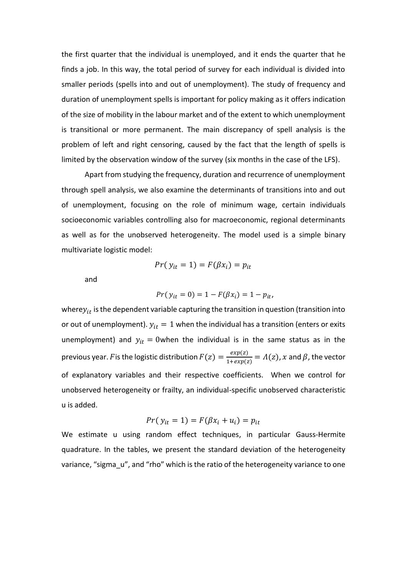the first quarter that the individual is unemployed, and it ends the quarter that he finds a job. In this way, the total period of survey for each individual is divided into smaller periods (spells into and out of unemployment). The study of frequency and duration of unemployment spells is important for policy making as it offers indication of the size of mobility in the labour market and of the extent to which unemployment is transitional or more permanent. The main discrepancy of spell analysis is the problem of left and right censoring, caused by the fact that the length of spells is limited by the observation window of the survey (six months in the case of the LFS).

Apart from studying the frequency, duration and recurrence of unemployment through spell analysis, we also examine the determinants of transitions into and out of unemployment, focusing on the role of minimum wage, certain individuals socioeconomic variables controlling also for macroeconomic, regional determinants as well as for the unobserved heterogeneity. The model used is a simple binary multivariate logistic model:

$$
Pr(y_{it} = 1) = F(\beta x_i) = p_{it}
$$

and

$$
Pr(y_{it} = 0) = 1 - F(\beta x_i) = 1 - p_{it},
$$

where  $y_{it}$  is the dependent variable capturing the transition in question (transition into or out of unemployment).  $y_{it} = 1$  when the individual has a transition (enters or exits unemployment) and  $y_{it} = 0$ when the individual is in the same status as in the previous year. F is the logistic distribution  $F(z) = \frac{exp(z)}{1+exp(z)}$  $\frac{exp(z)}{1+exp(z)} = \Lambda(z)$ , x and  $\beta$ , the vector of explanatory variables and their respective coefficients. When we control for unobserved heterogeneity or frailty, an individual-specific unobserved characteristic u is added.

$$
Pr(y_{it} = 1) = F(\beta x_i + u_i) = p_{it}
$$

We estimate u using random effect techniques, in particular Gauss-Hermite quadrature. In the tables, we present the standard deviation of the heterogeneity variance, "sigma\_u", and "rho" which is the ratio of the heterogeneity variance to one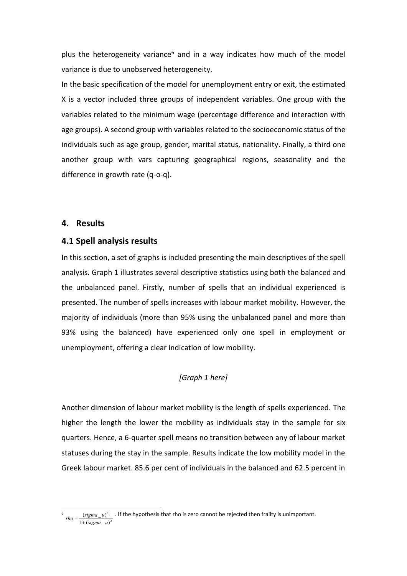plus the heterogeneity variance<sup>6</sup> and in a way indicates how much of the model variance is due to unobserved heterogeneity.

In the basic specification of the model for unemployment entry or exit, the estimated X is a vector included three groups of independent variables. One group with the variables related to the minimum wage (percentage difference and interaction with age groups). A second group with variables related to the socioeconomic status of the individuals such as age group, gender, marital status, nationality. Finally, a third one another group with vars capturing geographical regions, seasonality and the difference in growth rate (q-o-q).

### **4. Results**

#### **4.1 Spell analysis results**

In this section, a set of graphs is included presenting the main descriptives of the spell analysis. Graph 1 illustrates several descriptive statistics using both the balanced and the unbalanced panel. Firstly, number of spells that an individual experienced is presented. The number of spells increases with labour market mobility. However, the majority of individuals (more than 95% using the unbalanced panel and more than 93% using the balanced) have experienced only one spell in employment or unemployment, offering a clear indication of low mobility.

# *[Graph 1 here]*

Another dimension of labour market mobility is the length of spells experienced. The higher the length the lower the mobility as individuals stay in the sample for six quarters. Hence, a 6-quarter spell means no transition between any of labour market statuses during the stay in the sample. Results indicate the low mobility model in the Greek labour market. 85.6 per cent of individuals in the balanced and 62.5 percent in

<sup>6</sup> 2 2  $1 + ( sigma_u)$  $(signa$   $_u)$ *sigma <sup>u</sup>*  $rho = \frac{(sigma - u)^2}{1 + (sigma - u)^2}$ . If the hypothesis that rho is zero cannot be rejected then frailty is unimportant.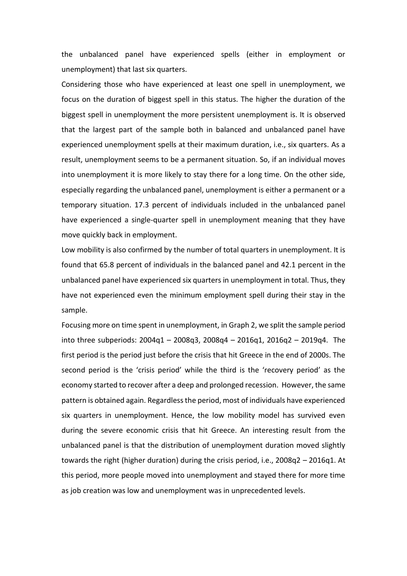the unbalanced panel have experienced spells (either in employment or unemployment) that last six quarters.

Considering those who have experienced at least one spell in unemployment, we focus on the duration of biggest spell in this status. The higher the duration of the biggest spell in unemployment the more persistent unemployment is. It is observed that the largest part of the sample both in balanced and unbalanced panel have experienced unemployment spells at their maximum duration, i.e., six quarters. As a result, unemployment seems to be a permanent situation. So, if an individual moves into unemployment it is more likely to stay there for a long time. On the other side, especially regarding the unbalanced panel, unemployment is either a permanent or a temporary situation. 17.3 percent of individuals included in the unbalanced panel have experienced a single-quarter spell in unemployment meaning that they have move quickly back in employment.

Low mobility is also confirmed by the number of total quarters in unemployment. It is found that 65.8 percent of individuals in the balanced panel and 42.1 percent in the unbalanced panel have experienced six quarters in unemployment in total. Thus, they have not experienced even the minimum employment spell during their stay in the sample.

Focusing more on time spent in unemployment, in Graph 2, we split the sample period into three subperiods: 2004q1 – 2008q3, 2008q4 – 2016q1, 2016q2 – 2019q4. The first period is the period just before the crisis that hit Greece in the end of 2000s. The second period is the 'crisis period' while the third is the 'recovery period' as the economy started to recover after a deep and prolonged recession. However, the same pattern is obtained again. Regardless the period, most of individuals have experienced six quarters in unemployment. Hence, the low mobility model has survived even during the severe economic crisis that hit Greece. An interesting result from the unbalanced panel is that the distribution of unemployment duration moved slightly towards the right (higher duration) during the crisis period, i.e., 2008q2 – 2016q1. At this period, more people moved into unemployment and stayed there for more time as job creation was low and unemployment was in unprecedented levels.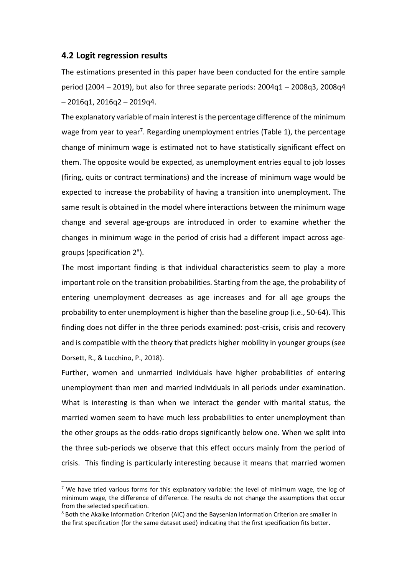### **4.2 Logit regression results**

The estimations presented in this paper have been conducted for the entire sample period (2004 – 2019), but also for three separate periods: 2004q1 – 2008q3, 2008q4  $-2016q1, 2016q2 - 2019q4.$ 

The explanatory variable of main interest is the percentage difference of the minimum wage from year to year<sup>7</sup>. Regarding unemployment entries (Table 1), the percentage change of minimum wage is estimated not to have statistically significant effect on them. The opposite would be expected, as unemployment entries equal to job losses (firing, quits or contract terminations) and the increase of minimum wage would be expected to increase the probability of having a transition into unemployment. The same result is obtained in the model where interactions between the minimum wage change and several age-groups are introduced in order to examine whether the changes in minimum wage in the period of crisis had a different impact across agegroups (specification 2<sup>8</sup>).

The most important finding is that individual characteristics seem to play a more important role on the transition probabilities. Starting from the age, the probability of entering unemployment decreases as age increases and for all age groups the probability to enter unemployment is higher than the baseline group (i.e., 50-64). This finding does not differ in the three periods examined: post-crisis, crisis and recovery and is compatible with the theory that predicts higher mobility in younger groups (see Dorsett, R., & Lucchino, P., 2018).

Further, women and unmarried individuals have higher probabilities of entering unemployment than men and married individuals in all periods under examination. What is interesting is than when we interact the gender with marital status, the married women seem to have much less probabilities to enter unemployment than the other groups as the odds-ratio drops significantly below one. When we split into the three sub-periods we observe that this effect occurs mainly from the period of crisis. This finding is particularly interesting because it means that married women

<sup>&</sup>lt;sup>7</sup> We have tried various forms for this explanatory variable: the level of minimum wage, the log of minimum wage, the difference of difference. The results do not change the assumptions that occur from the selected specification.

<sup>8</sup> Both the Akaike Information Criterion (AIC) and the Baysenian Information Criterion are smaller in the first specification (for the same dataset used) indicating that the first specification fits better.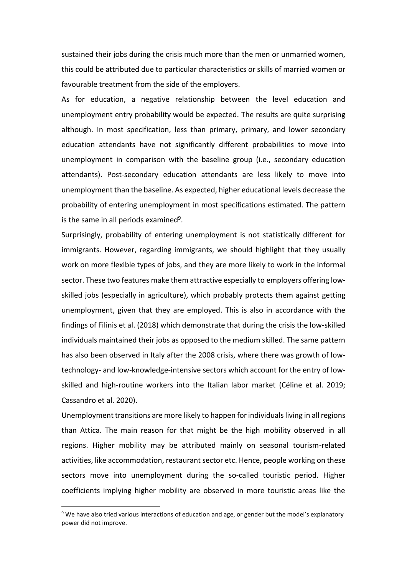sustained their jobs during the crisis much more than the men or unmarried women, this could be attributed due to particular characteristics or skills of married women or favourable treatment from the side of the employers.

As for education, a negative relationship between the level education and unemployment entry probability would be expected. The results are quite surprising although. In most specification, less than primary, primary, and lower secondary education attendants have not significantly different probabilities to move into unemployment in comparison with the baseline group (i.e., secondary education attendants). Post-secondary education attendants are less likely to move into unemployment than the baseline. As expected, higher educational levels decrease the probability of entering unemployment in most specifications estimated. The pattern is the same in all periods examined<sup>9</sup>.

Surprisingly, probability of entering unemployment is not statistically different for immigrants. However, regarding immigrants, we should highlight that they usually work on more flexible types of jobs, and they are more likely to work in the informal sector. These two features make them attractive especially to employers offering lowskilled jobs (especially in agriculture), which probably protects them against getting unemployment, given that they are employed. This is also in accordance with the findings of Filinis et al. (2018) which demonstrate that during the crisis the low-skilled individuals maintained their jobs as opposed to the medium skilled. The same pattern has also been observed in Italy after the 2008 crisis, where there was growth of lowtechnology- and low-knowledge-intensive sectors which account for the entry of lowskilled and high-routine workers into the Italian labor market (Céline et al. 2019; Cassandro et al. 2020).

Unemployment transitions are more likely to happen for individuals living in all regions than Attica. The main reason for that might be the high mobility observed in all regions. Higher mobility may be attributed mainly on seasonal tourism-related activities, like accommodation, restaurant sector etc. Hence, people working on these sectors move into unemployment during the so-called touristic period. Higher coefficients implying higher mobility are observed in more touristic areas like the

<sup>&</sup>lt;sup>9</sup> We have also tried various interactions of education and age, or gender but the model's explanatory power did not improve.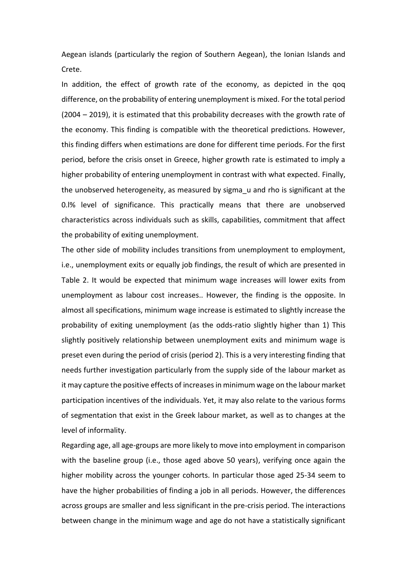Aegean islands (particularly the region of Southern Aegean), the Ionian Islands and Crete.

In addition, the effect of growth rate of the economy, as depicted in the qoq difference, on the probability of entering unemployment is mixed. For the total period (2004 – 2019), it is estimated that this probability decreases with the growth rate of the economy. This finding is compatible with the theoretical predictions. However, this finding differs when estimations are done for different time periods. For the first period, before the crisis onset in Greece, higher growth rate is estimated to imply a higher probability of entering unemployment in contrast with what expected. Finally, the unobserved heterogeneity, as measured by sigma\_u and rho is significant at the 0.l% level of significance. This practically means that there are unobserved characteristics across individuals such as skills, capabilities, commitment that affect the probability of exiting unemployment.

The other side of mobility includes transitions from unemployment to employment, i.e., unemployment exits or equally job findings, the result of which are presented in Table 2. It would be expected that minimum wage increases will lower exits from unemployment as labour cost increases.. However, the finding is the opposite. In almost all specifications, minimum wage increase is estimated to slightly increase the probability of exiting unemployment (as the odds-ratio slightly higher than 1) This slightly positively relationship between unemployment exits and minimum wage is preset even during the period of crisis (period 2). This is a very interesting finding that needs further investigation particularly from the supply side of the labour market as it may capture the positive effects of increases in minimum wage on the labour market participation incentives of the individuals. Yet, it may also relate to the various forms of segmentation that exist in the Greek labour market, as well as to changes at the level of informality.

Regarding age, all age-groups are more likely to move into employment in comparison with the baseline group (i.e., those aged above 50 years), verifying once again the higher mobility across the younger cohorts. In particular those aged 25-34 seem to have the higher probabilities of finding a job in all periods. However, the differences across groups are smaller and less significant in the pre-crisis period. The interactions between change in the minimum wage and age do not have a statistically significant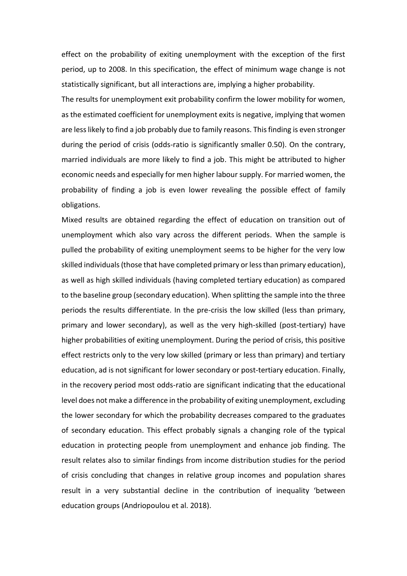effect on the probability of exiting unemployment with the exception of the first period, up to 2008. In this specification, the effect of minimum wage change is not statistically significant, but all interactions are, implying a higher probability.

The results for unemployment exit probability confirm the lower mobility for women, as the estimated coefficient for unemployment exits is negative, implying that women are less likely to find a job probably due to family reasons. This finding is even stronger during the period of crisis (odds-ratio is significantly smaller 0.50). On the contrary, married individuals are more likely to find a job. This might be attributed to higher economic needs and especially for men higher labour supply. For married women, the probability of finding a job is even lower revealing the possible effect of family obligations.

Mixed results are obtained regarding the effect of education on transition out of unemployment which also vary across the different periods. When the sample is pulled the probability of exiting unemployment seems to be higher for the very low skilled individuals (those that have completed primary or less than primary education), as well as high skilled individuals (having completed tertiary education) as compared to the baseline group (secondary education). When splitting the sample into the three periods the results differentiate. In the pre-crisis the low skilled (less than primary, primary and lower secondary), as well as the very high-skilled (post-tertiary) have higher probabilities of exiting unemployment. During the period of crisis, this positive effect restricts only to the very low skilled (primary or less than primary) and tertiary education, ad is not significant for lower secondary or post-tertiary education. Finally, in the recovery period most odds-ratio are significant indicating that the educational level does not make a difference in the probability of exiting unemployment, excluding the lower secondary for which the probability decreases compared to the graduates of secondary education. This effect probably signals a changing role of the typical education in protecting people from unemployment and enhance job finding. The result relates also to similar findings from income distribution studies for the period of crisis concluding that changes in relative group incomes and population shares result in a very substantial decline in the contribution of inequality 'between education groups (Andriopoulou et al. 2018).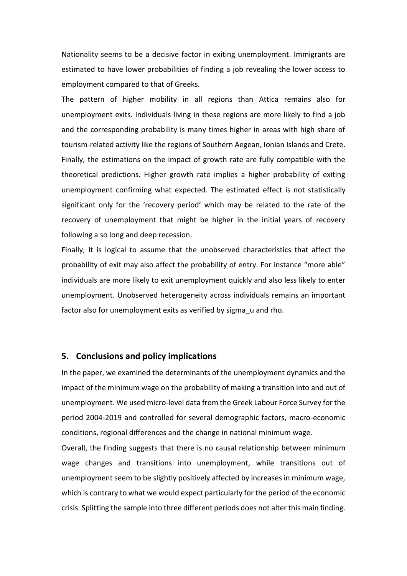Nationality seems to be a decisive factor in exiting unemployment. Immigrants are estimated to have lower probabilities of finding a job revealing the lower access to employment compared to that of Greeks.

The pattern of higher mobility in all regions than Attica remains also for unemployment exits. Individuals living in these regions are more likely to find a job and the corresponding probability is many times higher in areas with high share of tourism-related activity like the regions of Southern Aegean, Ionian Islands and Crete. Finally, the estimations on the impact of growth rate are fully compatible with the theoretical predictions. Higher growth rate implies a higher probability of exiting unemployment confirming what expected. The estimated effect is not statistically significant only for the 'recovery period' which may be related to the rate of the recovery of unemployment that might be higher in the initial years of recovery following a so long and deep recession.

Finally, It is logical to assume that the unobserved characteristics that affect the probability of exit may also affect the probability of entry. For instance "more able" individuals are more likely to exit unemployment quickly and also less likely to enter unemployment. Unobserved heterogeneity across individuals remains an important factor also for unemployment exits as verified by sigma u and rho.

### **5. Conclusions and policy implications**

In the paper, we examined the determinants of the unemployment dynamics and the impact of the minimum wage on the probability of making a transition into and out of unemployment. We used micro-level data from the Greek Labour Force Survey for the period 2004-2019 and controlled for several demographic factors, macro-economic conditions, regional differences and the change in national minimum wage.

Overall, the finding suggests that there is no causal relationship between minimum wage changes and transitions into unemployment, while transitions out of unemployment seem to be slightly positively affected by increases in minimum wage, which is contrary to what we would expect particularly for the period of the economic crisis. Splitting the sample into three different periods does not alter this main finding.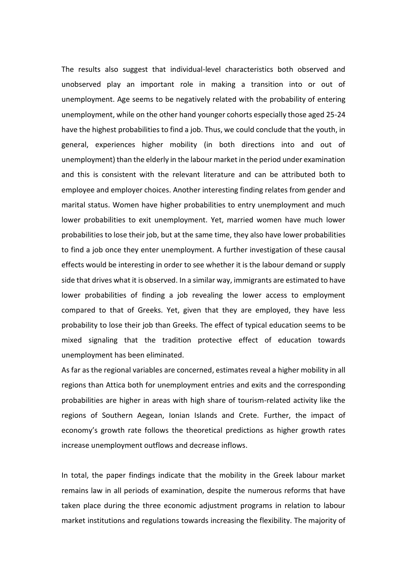The results also suggest that individual-level characteristics both observed and unobserved play an important role in making a transition into or out of unemployment. Age seems to be negatively related with the probability of entering unemployment, while on the other hand younger cohorts especially those aged 25-24 have the highest probabilities to find a job. Thus, we could conclude that the youth, in general, experiences higher mobility (in both directions into and out of unemployment) than the elderly in the labour market in the period under examination and this is consistent with the relevant literature and can be attributed both to employee and employer choices. Another interesting finding relates from gender and marital status. Women have higher probabilities to entry unemployment and much lower probabilities to exit unemployment. Yet, married women have much lower probabilities to lose their job, but at the same time, they also have lower probabilities to find a job once they enter unemployment. A further investigation of these causal effects would be interesting in order to see whether it is the labour demand or supply side that drives what it is observed. In a similar way, immigrants are estimated to have lower probabilities of finding a job revealing the lower access to employment compared to that of Greeks. Yet, given that they are employed, they have less probability to lose their job than Greeks. The effect of typical education seems to be mixed signaling that the tradition protective effect of education towards unemployment has been eliminated.

As far as the regional variables are concerned, estimates reveal a higher mobility in all regions than Attica both for unemployment entries and exits and the corresponding probabilities are higher in areas with high share of tourism-related activity like the regions of Southern Aegean, Ionian Islands and Crete. Further, the impact of economy's growth rate follows the theoretical predictions as higher growth rates increase unemployment outflows and decrease inflows.

In total, the paper findings indicate that the mobility in the Greek labour market remains law in all periods of examination, despite the numerous reforms that have taken place during the three economic adjustment programs in relation to labour market institutions and regulations towards increasing the flexibility. The majority of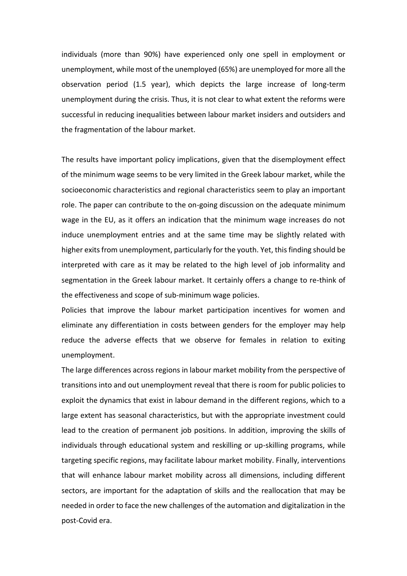individuals (more than 90%) have experienced only one spell in employment or unemployment, while most of the unemployed (65%) are unemployed for more all the observation period (1.5 year), which depicts the large increase of long-term unemployment during the crisis. Thus, it is not clear to what extent the reforms were successful in reducing inequalities between labour market insiders and outsiders and the fragmentation of the labour market.

The results have important policy implications, given that the disemployment effect of the minimum wage seems to be very limited in the Greek labour market, while the socioeconomic characteristics and regional characteristics seem to play an important role. The paper can contribute to the on-going discussion on the adequate minimum wage in the EU, as it offers an indication that the minimum wage increases do not induce unemployment entries and at the same time may be slightly related with higher exits from unemployment, particularly for the youth. Yet, this finding should be interpreted with care as it may be related to the high level of job informality and segmentation in the Greek labour market. It certainly offers a change to re-think of the effectiveness and scope of sub-minimum wage policies.

Policies that improve the labour market participation incentives for women and eliminate any differentiation in costs between genders for the employer may help reduce the adverse effects that we observe for females in relation to exiting unemployment.

The large differences across regions in labour market mobility from the perspective of transitions into and out unemployment reveal that there is room for public policies to exploit the dynamics that exist in labour demand in the different regions, which to a large extent has seasonal characteristics, but with the appropriate investment could lead to the creation of permanent job positions. In addition, improving the skills of individuals through educational system and reskilling or up-skilling programs, while targeting specific regions, may facilitate labour market mobility. Finally, interventions that will enhance labour market mobility across all dimensions, including different sectors, are important for the adaptation of skills and the reallocation that may be needed in order to face the new challenges of the automation and digitalization in the post-Covid era.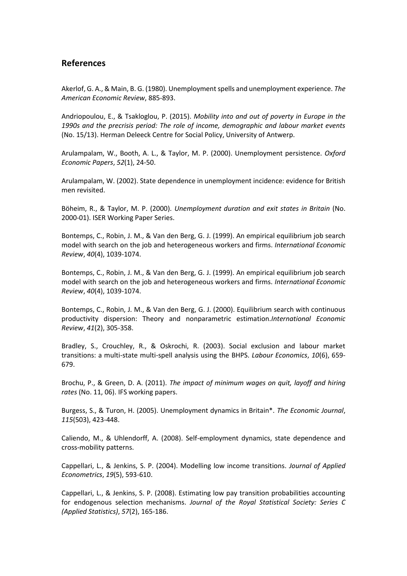# **References**

Akerlof, G. A., & Main, B. G. (1980). Unemployment spells and unemployment experience. *The American Economic Review*, 885-893.

Andriopoulou, E., & Tsakloglou, P. (2015). *Mobility into and out of poverty in Europe in the 1990s and the precrisis period: The role of income, demographic and labour market events*  (No. 15/13). Herman Deleeck Centre for Social Policy, University of Antwerp.

Arulampalam, W., Booth, A. L., & Taylor, M. P. (2000). Unemployment persistence. *Oxford Economic Papers*, *52*(1), 24-50.

Arulampalam, W. (2002). State dependence in unemployment incidence: evidence for British men revisited.

Böheim, R., & Taylor, M. P. (2000). *Unemployment duration and exit states in Britain* (No. 2000-01). ISER Working Paper Series.

Bontemps, C., Robin, J. M., & Van den Berg, G. J. (1999). An empirical equilibrium job search model with search on the job and heterogeneous workers and firms. *International Economic Review*, *40*(4), 1039-1074.

Bontemps, C., Robin, J. M., & Van den Berg, G. J. (1999). An empirical equilibrium job search model with search on the job and heterogeneous workers and firms. *International Economic Review*, *40*(4), 1039-1074.

Bontemps, C., Robin, J. M., & Van den Berg, G. J. (2000). Equilibrium search with continuous productivity dispersion: Theory and nonparametric estimation.*International Economic Review*, *41*(2), 305-358.

Bradley, S., Crouchley, R., & Oskrochi, R. (2003). Social exclusion and labour market transitions: a multi-state multi-spell analysis using the BHPS. *Labour Economics*, *10*(6), 659- 679.

Brochu, P., & Green, D. A. (2011). *The impact of minimum wages on quit, layoff and hiring rates* (No. 11, 06). IFS working papers.

Burgess, S., & Turon, H. (2005). Unemployment dynamics in Britain\*. *The Economic Journal*, *115*(503), 423-448.

Caliendo, M., & Uhlendorff, A. (2008). Self-employment dynamics, state dependence and cross-mobility patterns.

Cappellari, L., & Jenkins, S. P. (2004). Modelling low income transitions. *Journal of Applied Econometrics*, *19*(5), 593-610.

Cappellari, L., & Jenkins, S. P. (2008). Estimating low pay transition probabilities accounting for endogenous selection mechanisms. *Journal of the Royal Statistical Society: Series C (Applied Statistics)*, *57*(2), 165-186.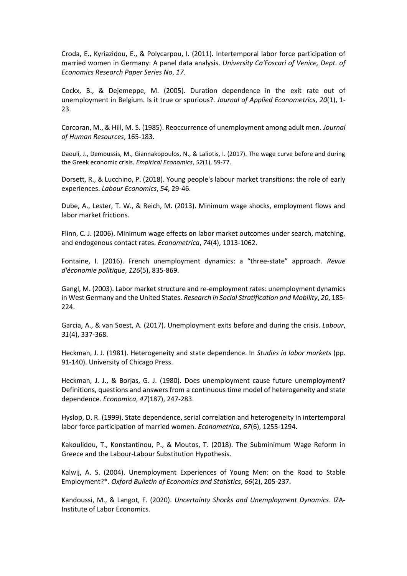Croda, E., Kyriazidou, E., & Polycarpou, I. (2011). Intertemporal labor force participation of married women in Germany: A panel data analysis. *University Ca'Foscari of Venice, Dept. of Economics Research Paper Series No*, *17*.

Cockx, B., & Dejemeppe, M. (2005). Duration dependence in the exit rate out of unemployment in Belgium. Is it true or spurious?. *Journal of Applied Econometrics*, *20*(1), 1- 23.

Corcoran, M., & Hill, M. S. (1985). Reoccurrence of unemployment among adult men. *Journal of Human Resources*, 165-183.

Daouli, J., Demoussis, M., Giannakopoulos, N., & Laliotis, I. (2017). The wage curve before and during the Greek economic crisis. *Empirical Economics*, *52*(1), 59-77.

Dorsett, R., & Lucchino, P. (2018). Young people's labour market transitions: the role of early experiences. *Labour Economics*, *54*, 29-46.

Dube, A., Lester, T. W., & Reich, M. (2013). Minimum wage shocks, employment flows and labor market frictions.

Flinn, C. J. (2006). Minimum wage effects on labor market outcomes under search, matching, and endogenous contact rates. *Econometrica*, *74*(4), 1013-1062.

Fontaine, I. (2016). French unemployment dynamics: a "three-state" approach. *Revue d'économie politique*, *126*(5), 835-869.

Gangl, M. (2003). Labor market structure and re-employment rates: unemployment dynamics in West Germany and the United States. *Research in Social Stratification and Mobility*, *20*, 185- 224.

Garcia, A., & van Soest, A. (2017). Unemployment exits before and during the crisis. *Labour*, *31*(4), 337-368.

Heckman, J. J. (1981). Heterogeneity and state dependence. In *Studies in labor markets* (pp. 91-140). University of Chicago Press.

Heckman, J. J., & Borjas, G. J. (1980). Does unemployment cause future unemployment? Definitions, questions and answers from a continuous time model of heterogeneity and state dependence. *Economica*, *47*(187), 247-283.

Hyslop, D. R. (1999). State dependence, serial correlation and heterogeneity in intertemporal labor force participation of married women. *Econometrica*, *67*(6), 1255-1294.

Kakoulidou, T., Konstantinou, P., & Moutos, T. (2018). The Subminimum Wage Reform in Greece and the Labour-Labour Substitution Hypothesis.

Kalwij, A. S. (2004). Unemployment Experiences of Young Men: on the Road to Stable Employment?\*. *Oxford Bulletin of Economics and Statistics*, *66*(2), 205-237.

Kandoussi, M., & Langot, F. (2020). *Uncertainty Shocks and Unemployment Dynamics*. IZA-Institute of Labor Economics.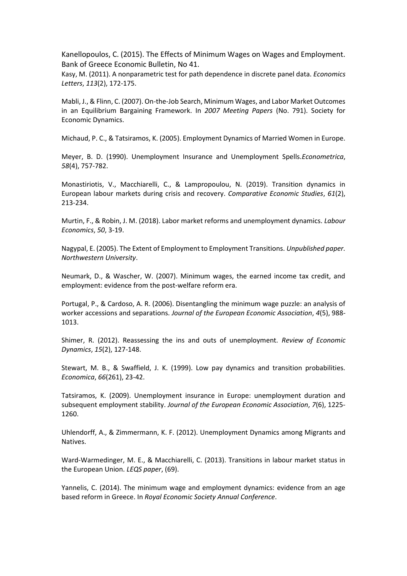Kanellopoulos, C. (2015). The Effects of Minimum Wages on Wages and Employment. Bank of Greece Economic Bulletin, No 41.

Kasy, M. (2011). A nonparametric test for path dependence in discrete panel data. *Economics Letters*, *113*(2), 172-175.

Mabli, J., & Flinn, C. (2007). On-the-Job Search, Minimum Wages, and Labor Market Outcomes in an Equilibrium Bargaining Framework. In *2007 Meeting Papers* (No. 791). Society for Economic Dynamics.

Michaud, P. C., & Tatsiramos, K. (2005). Employment Dynamics of Married Women in Europe.

Meyer, B. D. (1990). Unemployment Insurance and Unemployment Spells.*Econometrica*, *58*(4), 757-782.

Monastiriotis, V., Macchiarelli, C., & Lampropoulou, N. (2019). Transition dynamics in European labour markets during crisis and recovery. *Comparative Economic Studies*, *61*(2), 213-234.

Murtin, F., & Robin, J. M. (2018). Labor market reforms and unemployment dynamics. *Labour Economics*, *50*, 3-19.

Nagypal, E. (2005). The Extent of Employment to Employment Transitions. *Unpublished paper. Northwestern University*.

Neumark, D., & Wascher, W. (2007). Minimum wages, the earned income tax credit, and employment: evidence from the post-welfare reform era.

Portugal, P., & Cardoso, A. R. (2006). Disentangling the minimum wage puzzle: an analysis of worker accessions and separations. *Journal of the European Economic Association*, *4*(5), 988- 1013.

Shimer, R. (2012). Reassessing the ins and outs of unemployment. *Review of Economic Dynamics*, *15*(2), 127-148.

Stewart, M. B., & Swaffield, J. K. (1999). Low pay dynamics and transition probabilities. *Economica*, *66*(261), 23-42.

Tatsiramos, K. (2009). Unemployment insurance in Europe: unemployment duration and subsequent employment stability. *Journal of the European Economic Association*, *7*(6), 1225- 1260.

Uhlendorff, A., & Zimmermann, K. F. (2012). Unemployment Dynamics among Migrants and Natives.

Ward-Warmedinger, M. E., & Macchiarelli, C. (2013). Transitions in labour market status in the European Union. *LEQS paper*, (69).

Yannelis, C. (2014). The minimum wage and employment dynamics: evidence from an age based reform in Greece. In *Royal Economic Society Annual Conference*.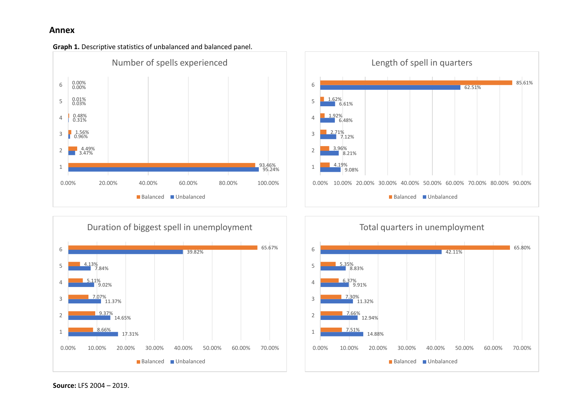# **Annex**









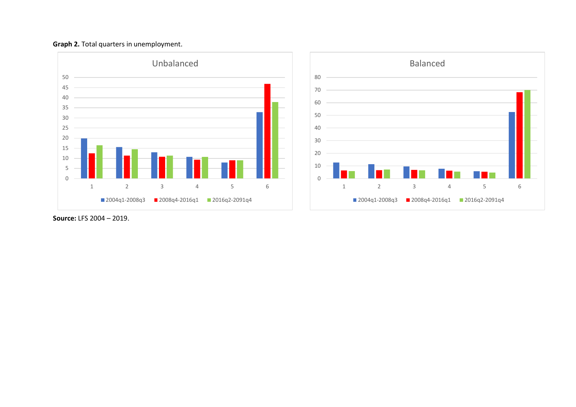





**Source:** LFS 2004 – 2019.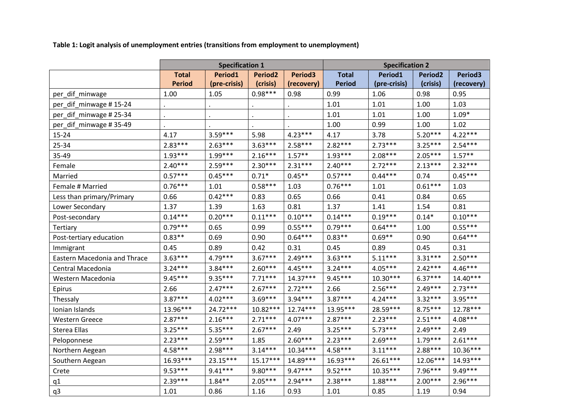**Table 1: Logit analysis of unemployment entries (transitions from employment to unemployment)** 

|                              | <b>Specification 1</b> |              |                     |                     | <b>Specification 2</b> |              |                     |            |
|------------------------------|------------------------|--------------|---------------------|---------------------|------------------------|--------------|---------------------|------------|
|                              | <b>Total</b>           | Period1      | Period <sub>2</sub> | Period <sub>3</sub> | <b>Total</b>           | Period1      | Period <sub>2</sub> | Period3    |
|                              | <b>Period</b>          | (pre-crisis) | (crisis)            | (recovery)          | <b>Period</b>          | (pre-crisis) | (crisis)            | (recovery) |
| per_dif_minwage              | 1.00                   | 1.05         | $0.98***$           | 0.98                | 0.99                   | 1.06         | 0.98                | 0.95       |
| per_dif_minwage #15-24       |                        |              |                     |                     | 1.01                   | 1.01         | 1.00                | 1.03       |
| per_dif_minwage #25-34       |                        |              |                     |                     | 1.01                   | 1.01         | 1.00                | $1.09*$    |
| per_dif_minwage #35-49       |                        |              |                     |                     | 1.00                   | 0.99         | 1.00                | 1.02       |
| 15-24                        | 4.17                   | $3.59***$    | 5.98                | $4.23***$           | 4.17                   | 3.78         | $5.20***$           | $4.22***$  |
| 25-34                        | $2.83***$              | $2.63***$    | $3.63***$           | $2.58***$           | $2.82***$              | $2.73***$    | $3.25***$           | $2.54***$  |
| 35-49                        | $1.93***$              | $1.99***$    | $2.16***$           | $1.57***$           | $1.93***$              | $2.08***$    | $2.05***$           | $1.57***$  |
| Female                       | $2.40***$              | $2.59***$    | $2.30***$           | $2.31***$           | $2.40***$              | $2.72***$    | $2.13***$           | $2.32***$  |
| Married                      | $0.57***$              | $0.45***$    | $0.71*$             | $0.45**$            | $0.57***$              | $0.44***$    | 0.74                | $0.45***$  |
| Female # Married             | $0.76***$              | 1.01         | $0.58***$           | 1.03                | $0.76***$              | 1.01         | $0.61***$           | 1.03       |
| Less than primary/Primary    | 0.66                   | $0.42***$    | 0.83                | 0.65                | 0.66                   | 0.41         | 0.84                | 0.65       |
| Lower Secondary              | 1.37                   | 1.39         | 1.63                | 0.81                | 1.37                   | 1.41         | 1.54                | 0.81       |
| Post-secondary               | $0.14***$              | $0.20***$    | $0.11***$           | $0.10***$           | $0.14***$              | $0.19***$    | $0.14*$             | $0.10***$  |
| Tertiary                     | $0.79***$              | 0.65         | 0.99                | $0.55***$           | $0.79***$              | $0.64***$    | 1.00                | $0.55***$  |
| Post-tertiary education      | $0.83**$               | 0.69         | 0.90                | $0.64***$           | $0.83**$               | $0.69**$     | 0.90                | $0.64***$  |
| Immigrant                    | 0.45                   | 0.89         | 0.42                | 0.31                | 0.45                   | 0.89         | 0.45                | 0.31       |
| Eastern Macedonia and Thrace | $3.63***$              | 4.79***      | $3.67***$           | $2.49***$           | $3.63***$              | $5.11***$    | $3.31***$           | $2.50***$  |
| Central Macedonia            | $3.24***$              | $3.84***$    | $2.60***$           | $4.45***$           | $3.24***$              | $4.05***$    | $2.42***$           | $4.46***$  |
| Western Macedonia            | $9.45***$              | $9.35***$    | $7.71***$           | $14.37***$          | $9.45***$              | $10.30***$   | $6.37***$           | $14.40***$ |
| Epirus                       | 2.66                   | $2.47***$    | $2.67***$           | $2.72***$           | 2.66                   | $2.56***$    | $2.49***$           | $2.73***$  |
| Thessaly                     | $3.87***$              | $4.02***$    | $3.69***$           | $3.94***$           | $3.87***$              | $4.24***$    | $3.32***$           | 3.95***    |
| Ionian Islands               | 13.96***               | 24.72***     | $10.82***$          | $12.74***$          | 13.95***               | 28.59***     | $8.75***$           | 12.78***   |
| <b>Western Greece</b>        | $2.87***$              | $2.16***$    | $2.71***$           | $4.07***$           | $2.87***$              | $2.23***$    | $2.51***$           | 4.08***    |
| Sterea Ellas                 | $3.25***$              | $5.35***$    | $2.67***$           | 2.49                | $3.25***$              | $5.73***$    | $2.49***$           | 2.49       |
| Peloponnese                  | $2.23***$              | $2.59***$    | 1.85                | $2.60***$           | $2.23***$              | $2.69***$    | $1.79***$           | $2.61***$  |
| Northern Aegean              | $4.58***$              | 2.98***      | $3.14***$           | $10.34***$          | $4.58***$              | $3.11***$    | $2.88***$           | $10.36***$ |
| Southern Aegean              | 16.93***               | 23.15***     | 15.17***            | 14.89***            | 16.93***               | $26.61***$   | 12.06***            | 14.93***   |
| Crete                        | $9.53***$              | $9.41***$    | $9.80***$           | $9.47***$           | $9.52***$              | $10.35***$   | $7.96***$           | $9.49***$  |
| q1                           | $2.39***$              | $1.84***$    | $2.05***$           | $2.94***$           | $2.38***$              | $1.88***$    | $2.00***$           | 2.96***    |
| q3                           | 1.01                   | 0.86         | 1.16                | 0.93                | 1.01                   | 0.85         | 1.19                | 0.94       |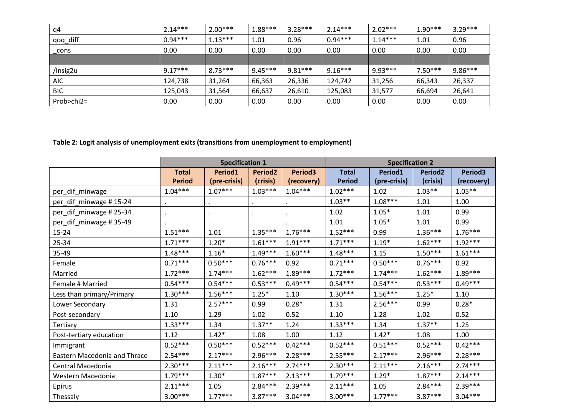| q4         | $2.14***$ | $2.00***$ | $1.88***$ | $3.28***$ | $2.14***$ | $2.02***$ | $1.90***$ | $3.29***$ |
|------------|-----------|-----------|-----------|-----------|-----------|-----------|-----------|-----------|
| qoq_diff   | $0.94***$ | $1.13***$ | 1.01      | 0.96      | $0.94***$ | $1.14***$ | 1.01      | 0.96      |
| cons       | 0.00      | 0.00      | 0.00      | 0.00      | 0.00      | 0.00      | 0.00      | 0.00      |
|            |           |           |           |           |           |           |           |           |
|            |           |           |           |           |           |           |           |           |
| /Insig2u   | $9.17***$ | $8.73***$ | $9.45***$ | $9.81***$ | $9.16***$ | $9.93***$ | $7.50***$ | $9.86***$ |
| <b>AIC</b> | 124,738   | 31,264    | 66,363    | 26,336    | 124,742   | 31,256    | 66,343    | 26,337    |
| <b>BIC</b> | 125.043   | 31,564    | 66,637    | 26,610    | 125,083   | 31,577    | 66,694    | 26,641    |

**Table 2: Logit analysis of unemployment exits (transitions from unemployment to employment)** 

|                              | <b>Specification 1</b> |              |                |                     | <b>Specification 2</b> |              |                |                     |
|------------------------------|------------------------|--------------|----------------|---------------------|------------------------|--------------|----------------|---------------------|
|                              | <b>Total</b>           | Period1      | <b>Period2</b> | Period <sub>3</sub> | <b>Total</b>           | Period1      | <b>Period2</b> | Period <sub>3</sub> |
|                              | <b>Period</b>          | (pre-crisis) | (crisis)       | (recovery)          | <b>Period</b>          | (pre-crisis) | (crisis)       | (recovery)          |
| per_dif_minwage              | $1.04***$              | $1.07***$    | $1.03***$      | $1.04***$           | $1.02***$              | 1.02         | $1.03***$      | $1.05***$           |
| per_dif_minwage #15-24       |                        |              |                |                     | $1.03**$               | $1.08***$    | 1.01           | 1.00                |
| per_dif_minwage # 25-34      |                        |              |                |                     | 1.02                   | $1.05*$      | 1.01           | 0.99                |
| per_dif_minwage #35-49       |                        |              |                |                     | 1.01                   | $1.05*$      | 1.01           | 0.99                |
| 15-24                        | $1.51***$              | 1.01         | $1.35***$      | $1.76***$           | $1.52***$              | 0.99         | $1.36***$      | $1.76***$           |
| 25-34                        | $1.71***$              | $1.20*$      | $1.61***$      | $1.91***$           | $1.71***$              | $1.19*$      | $1.62***$      | $1.92***$           |
| 35-49                        | $1.48***$              | $1.16*$      | $1.49***$      | $1.60***$           | $1.48***$              | 1.15         | $1.50***$      | $1.61***$           |
| Female                       | $0.71***$              | $0.50***$    | $0.76***$      | 0.92                | $0.71***$              | $0.50***$    | $0.76***$      | 0.92                |
| Married                      | $1.72***$              | $1.74***$    | $1.62***$      | $1.89***$           | $1.72***$              | $1.74***$    | $1.62***$      | $1.89***$           |
| Female # Married             | $0.54***$              | $0.54***$    | $0.53***$      | $0.49***$           | $0.54***$              | $0.54***$    | $0.53***$      | $0.49***$           |
| Less than primary/Primary    | $1.30***$              | $1.56***$    | $1.25*$        | 1.10                | $1.30***$              | $1.56***$    | $1.25*$        | 1.10                |
| Lower Secondary              | 1.31                   | $2.57***$    | 0.99           | $0.28*$             | 1.31                   | $2.56***$    | 0.99           | $0.28*$             |
| Post-secondary               | 1.10                   | 1.29         | 1.02           | 0.52                | 1.10                   | 1.28         | 1.02           | 0.52                |
| Tertiary                     | $1.33***$              | 1.34         | $1.37**$       | 1.24                | $1.33***$              | 1.34         | $1.37**$       | 1.25                |
| Post-tertiary education      | 1.12                   | $1.42*$      | 1.08           | 1.00                | 1.12                   | $1.42*$      | 1.08           | 1.00                |
| Immigrant                    | $0.52***$              | $0.50***$    | $0.52***$      | $0.42***$           | $0.52***$              | $0.51***$    | $0.52***$      | $0.42***$           |
| Eastern Macedonia and Thrace | $2.54***$              | $2.17***$    | $2.96***$      | $2.28***$           | $2.55***$              | $2.17***$    | $2.96***$      | $2.28***$           |
| Central Macedonia            | $2.30***$              | $2.11***$    | $2.16***$      | $2.74***$           | $2.30***$              | $2.11***$    | $2.16***$      | $2.74***$           |
| Western Macedonia            | $1.79***$              | $1.30*$      | $1.87***$      | $2.13***$           | $1.79***$              | $1.29*$      | $1.87***$      | $2.14***$           |
| Epirus                       | $2.11***$              | 1.05         | $2.84***$      | $2.39***$           | $2.11***$              | 1.05         | $2.84***$      | $2.39***$           |
| Thessaly                     | $3.00***$              | $1.77***$    | $3.87***$      | $3.04***$           | $3.00***$              | $1.77***$    | $3.87***$      | $3.04***$           |